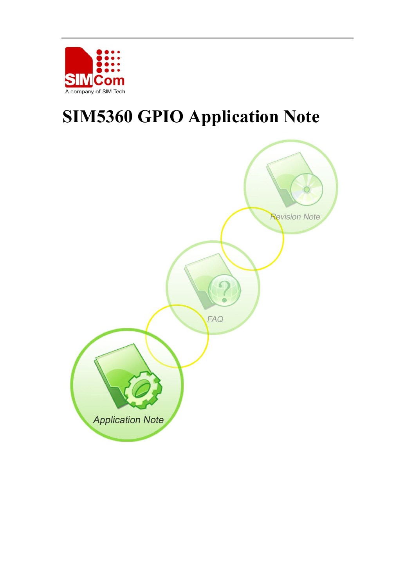

# **SIM5360 GPIO Application Note**

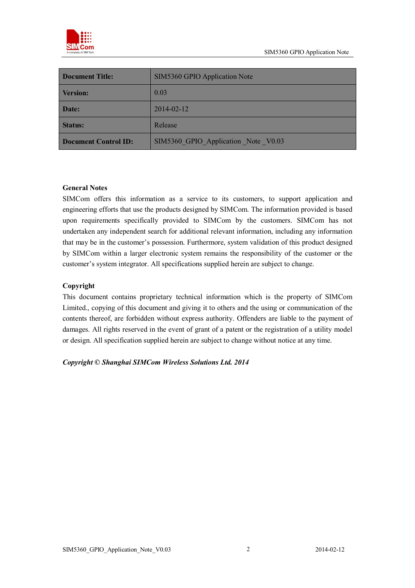

| <b>Document Title:</b>      | SIM5360 GPIO Application Note       |
|-----------------------------|-------------------------------------|
| <b>Version:</b>             | 0.03                                |
| Date:                       | 2014-02-12                          |
| <b>Status:</b>              | Release                             |
| <b>Document Control ID:</b> | SIM5360 GPIO Application Note V0.03 |

#### **General Notes**

SIMCom offers this information as a service to its customers, to support application and engineering efforts that use the products designed by SIMCom. The information provided is based upon requirements specifically provided to SIMCom by the customers. SIMCom has not undertaken any independent search for additional relevant information, including any information that may be in the customer's possession. Furthermore, system validation of this product designed by SIMCom within a larger electronic system remains the responsibility of the customer or the customer's system integrator. All specifications supplied herein are subject to change.

#### **Copyright**

This document contains proprietary technical information which is the property of SIMCom Limited., copying of this document and giving it to others and the using or communication of the contents thereof, are forbidden without express authority. Offenders are liable to the payment of damages. All rights reserved in the event of grant of a patent or the registration of a utility model or design. All specification supplied herein are subject to change without notice at any time.

*Copyright © Shanghai SIMCom Wireless Solutions Ltd. 2014*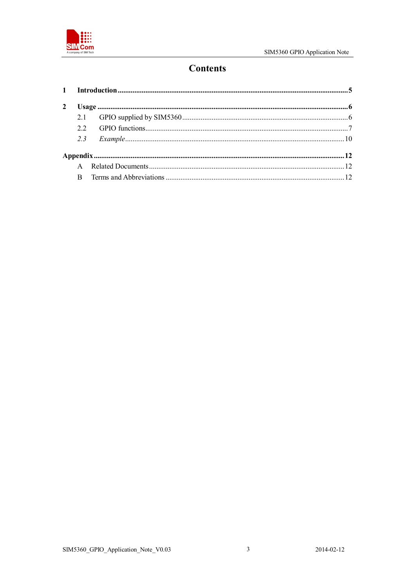

# **Contents**

| A |  |  |
|---|--|--|
| B |  |  |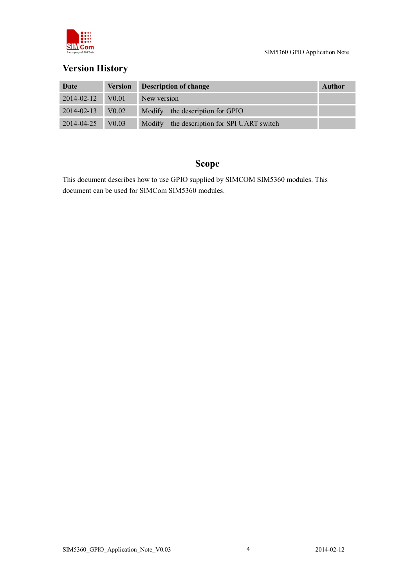

# **Version History**

| Date                   | <b>Version</b>    | Description of change                      | Author |
|------------------------|-------------------|--------------------------------------------|--------|
| $2014 - 02 - 12$ V0.01 |                   | New version                                |        |
| 2014-02-13 V0.02       |                   | Modify the description for GPIO            |        |
| 2014-04-25             | V <sub>0.03</sub> | Modify the description for SPI UART switch |        |

# **Scope**

This document describes how to use GPIO supplied by SIMCOM SIM5360 modules. This document can be used for SIMCom SIM5360 modules.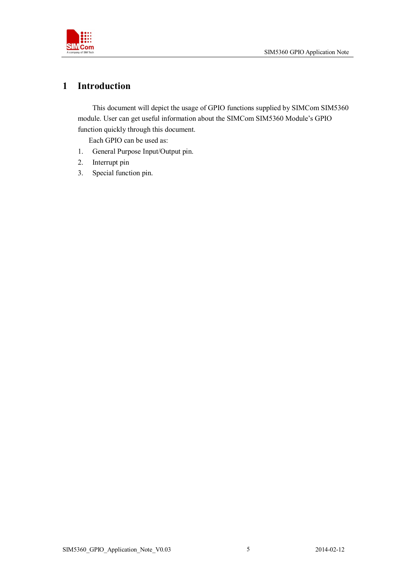

### **1 Introduction**

This document will depict the usage of GPIO functions supplied by SIMCom SIM5360 module. User can get useful information about the SIMCom SIM5360 Module's GPIO function quickly through this document.

Each GPIO can be used as:

- 1. General Purpose Input/Output pin.
- 2. Interrupt pin
- 3. Special function pin.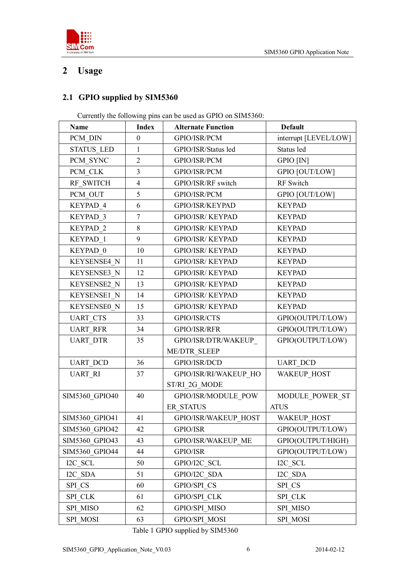

# **2 Usage**

### **2.1 GPIO supplied by SIM5360**

Currently the following pins can be used as GPIO on SIM5360:

| Name               | <b>Index</b>     | <b>Alternate Function</b> | <b>Default</b>        |
|--------------------|------------------|---------------------------|-----------------------|
| PCM DIN            | $\boldsymbol{0}$ | GPIO/ISR/PCM              | interrupt [LEVEL/LOW] |
| <b>STATUS LED</b>  | $\mathbf{1}$     | GPIO/ISR/Status led       | Status led            |
| PCM_SYNC           | $\overline{2}$   | GPIO/ISR/PCM              | <b>GPIO</b> [IN]      |
| PCM CLK            | $\overline{3}$   | GPIO/ISR/PCM              | <b>GPIO [OUT/LOW]</b> |
| RF SWITCH          | $\overline{4}$   | GPIO/ISR/RF switch        | RF Switch             |
| PCM OUT            | 5                | GPIO/ISR/PCM              | <b>GPIO [OUT/LOW]</b> |
| KEYPAD 4           | 6                | GPIO/ISR/KEYPAD           | <b>KEYPAD</b>         |
| KEYPAD 3           | $\tau$           | <b>GPIO/ISR/ KEYPAD</b>   | <b>KEYPAD</b>         |
| KEYPAD 2           | 8                | <b>GPIO/ISR/ KEYPAD</b>   | <b>KEYPAD</b>         |
| KEYPAD 1           | 9                | <b>GPIO/ISR/ KEYPAD</b>   | <b>KEYPAD</b>         |
| KEYPAD 0           | 10               | <b>GPIO/ISR/ KEYPAD</b>   | <b>KEYPAD</b>         |
| KEYSENSE4 N        | 11               | <b>GPIO/ISR/ KEYPAD</b>   | <b>KEYPAD</b>         |
| KEYSENSE3 N        | 12               | <b>GPIO/ISR/ KEYPAD</b>   | <b>KEYPAD</b>         |
| KEYSENSE2 N        | 13               | <b>GPIO/ISR/ KEYPAD</b>   | <b>KEYPAD</b>         |
| KEYSENSE1 N        | 14               | <b>GPIO/ISR/ KEYPAD</b>   | <b>KEYPAD</b>         |
| <b>KEYSENSE0 N</b> | 15               | <b>GPIO/ISR/ KEYPAD</b>   | <b>KEYPAD</b>         |
| <b>UART CTS</b>    | 33               | GPIO/ISR/CTS              | GPIO(OUTPUT/LOW)      |
| <b>UART RFR</b>    | 34               | GPIO/ISR/RFR              | GPIO(OUTPUT/LOW)      |
| <b>UART DTR</b>    | 35               | GPIO/ISR/DTR/WAKEUP       | GPIO(OUTPUT/LOW)      |
|                    |                  | <b>ME/DTR SLEEP</b>       |                       |
| <b>UART DCD</b>    | 36               | GPIO/ISR/DCD              | <b>UART DCD</b>       |
| <b>UART RI</b>     | 37               | GPIO/ISR/RI/WAKEUP HO     | <b>WAKEUP HOST</b>    |
|                    |                  | ST/RI 2G_MODE             |                       |
| SIM5360 GPIO40     | 40               | GPIO/ISR/MODULE POW       | MODULE POWER ST       |
|                    |                  | ER STATUS                 | <b>ATUS</b>           |
| SIM5360 GPIO41     | 41               | GPIO/ISR/WAKEUP HOST      | WAKEUP HOST           |
| SIM5360 GPIO42     | 42               | GPIO/ISR                  | GPIO(OUTPUT/LOW)      |
| SIM5360 GPIO43     | 43               | GPIO/ISR/WAKEUP ME        | GPIO(OUTPUT/HIGH)     |
| SIM5360 GPIO44     | 44               | GPIO/ISR                  | GPIO(OUTPUT/LOW)      |
| I2C SCL            | 50               | GPIO/I2C SCL              | I2C SCL               |
| I2C SDA            | 51               | GPIO/I2C SDA              | I2C SDA               |
| SPI_CS             | 60               | GPIO/SPI CS               | SPI CS                |
| <b>SPI CLK</b>     | 61               | <b>GPIO/SPI CLK</b>       | SPI CLK               |
| SPI MISO           | 62               | GPIO/SPI MISO             | SPI MISO              |
| SPI MOSI           | 63               | GPIO/SPI MOSI             | SPI MOSI              |

Table 1 GPIO supplied by SIM5360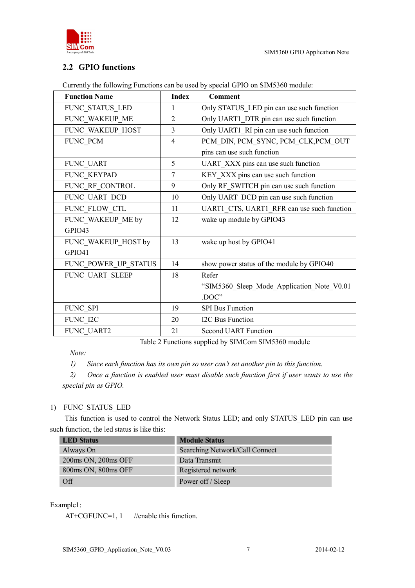

#### **2.2 GPIO functions**

| <b>Function Name</b> | <b>Index</b>   | <b>Comment</b>                             |
|----------------------|----------------|--------------------------------------------|
| FUNC STATUS LED      | 1              | Only STATUS_LED pin can use such function  |
| FUNC_WAKEUP_ME       | $\overline{2}$ | Only UART1_DTR pin can use such function   |
| FUNC_WAKEUP_HOST     | 3              | Only UART1 RI pin can use such function    |
| FUNC PCM             | 4              | PCM_DIN, PCM_SYNC, PCM_CLK, PCM_OUT        |
|                      |                | pins can use such function                 |
| FUNC_UART            | 5              | UART_XXX pins can use such function        |
| FUNC KEYPAD          | 7              | KEY_XXX pins can use such function         |
| FUNC RF_CONTROL      | 9              | Only RF_SWITCH pin can use such function   |
| FUNC UART DCD        | 10             | Only UART_DCD pin can use such function    |
| FUNC FLOW CTL        | 11             | UART1_CTS, UART1_RFR can use such function |
| FUNC WAKEUP ME by    | 12             | wake up module by GPIO43                   |
| GPIO43               |                |                                            |
| FUNC_WAKEUP_HOST by  | 13             | wake up host by GPIO41                     |
| GPIO41               |                |                                            |
| FUNC_POWER_UP_STATUS | 14             | show power status of the module by GPIO40  |
| FUNC_UART_SLEEP      | 18             | Refer                                      |
|                      |                | "SIM5360 Sleep Mode Application Note V0.01 |
|                      |                | .DOC"                                      |
| FUNC SPI             | 19             | <b>SPI Bus Function</b>                    |
| FUNC I2C             | 20             | I2C Bus Function                           |
| FUNC UART2           | 21             | <b>Second UART Function</b>                |

Currently the following Functions can be used by special GPIO on SIM5360 module:

Table 2 Functions supplied by SIMCom SIM5360 module

*Note:* 

*1) Since each function has its own pin so user can't set another pin to this function.*

*2) Once a function is enabled user must disable such function first if user wants to use the special pin as GPIO.*

#### 1) FUNC\_STATUS\_LED

 This function is used to control the Network Status LED; and only STATUS\_LED pin can use such function, the led status is like this:

| <b>LED</b> Status   | <b>Module Status</b>           |
|---------------------|--------------------------------|
| Always On           | Searching Network/Call Connect |
| 200ms ON, 200ms OFF | Data Transmit                  |
| 800ms ON, 800ms OFF | Registered network             |
| $\Omega$            | Power off / Sleep              |

#### Example1:

AT+CGFUNC=1, 1 //enable this function.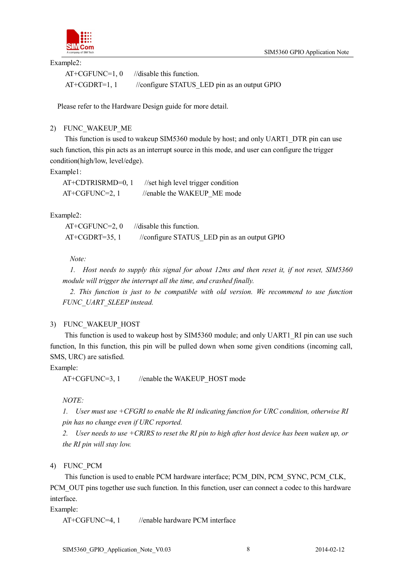



Example2:

| $AT+CGFUNC=1,0$ | //disable this function.                     |
|-----------------|----------------------------------------------|
| $AT+CGDRT=1, 1$ | //configure STATUS LED pin as an output GPIO |

Please refer to the Hardware Design guide for more detail.

2) FUNC\_WAKEUP\_ME

This function is used to wakeup SIM5360 module by host; and only UART1\_DTR pin can use such function, this pin acts as an interrupt source in this mode, and user can configure the trigger condition(high/low, level/edge).

Example1:

AT+CDTRISRMD=0, 1 //set high level trigger condition  $AT+CGFUNC=2, 1$  //enable the WAKEUP ME mode

Example2:

 $AT+CGFUNC=2, 0$  //disable this function. AT+CGDRT=35, 1 //configure STATUS LED pin as an output GPIO

*Note:*

*1. Host needs to supply this signal for about 12ms and then reset it, if not reset, SIM5360 module will trigger the interrupt all the time, and crashed finally.*

*2. This function is just to be compatible with old version. We recommend to use function FUNC\_UART\_SLEEP instead.*

#### 3) FUNC\_WAKEUP\_HOST

This function is used to wakeup host by SIM5360 module; and only UART1\_RI pin can use such function, In this function, this pin will be pulled down when some given conditions (incoming call, SMS, URC) are satisfied.

Example:

AT+CGFUNC=3, 1 //enable the WAKEUP HOST mode

*NOTE:* 

*1. User must use +CFGRI to enable the RI indicating function for URC condition, otherwise RI pin has no change even if URC reported.*

*2. User needs to use +CRIRS to reset the RI pin to high after host device has been waken up, or the RI pin will stay low.*

4) FUNC\_PCM

This function is used to enable PCM hardware interface; PCM\_DIN, PCM\_SYNC, PCM\_CLK, PCM OUT pins together use such function. In this function, user can connect a codec to this hardware interface.

Example:

AT+CGFUNC=4, 1 //enable hardware PCM interface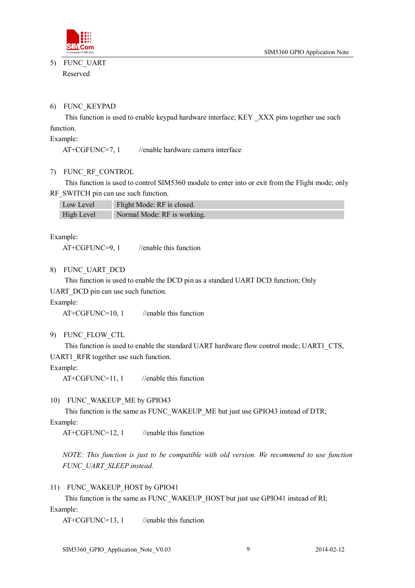

5) FUNC\_UART Reserved

#### 6) FUNC\_KEYPAD

This function is used to enable keypad hardware interface; KEY \_XXX pins together use such function.

Example:

AT+CGFUNC=7, 1 //enable hardware camera interface

#### 7) FUNC\_RF\_CONTROL

This function is used to control SIM5360 module to enter into or exit from the Flight mode; only RF\_SWITCH pin can use such function.

| Low Level  | Flight Mode: RF is closed.  |
|------------|-----------------------------|
| High Level | Normal Mode: RF is working. |

Example:

AT+CGFUNC=9, 1 //enable this function

8) FUNC\_UART\_DCD

This function is used to enable the DCD pin as a standard UART DCD function; Only

UART DCD pin can use such function.

Example:

 $AT+CGFUNC=10, 1$  //enable this function

9) FUNC\_FLOW\_CTL

This function is used to enable the standard UART hardware flow control mode; UART1\_CTS, UART1\_RFR together use such function.

Example:

 $AT+CGFUNC=11, 1$  //enable this function

#### 10) FUNC\_WAKEUP\_ME by GPIO43

This function is the same as FUNC\_WAKEUP\_ME but just use GPIO43 instead of DTR;

Example:

 $AT+CGFUNC=12, 1$  //enable this function

*NOTE: This function is just to be compatible with old version. We recommend to use function FUNC\_UART\_SLEEP instead.*

#### 11) FUNC\_WAKEUP\_HOST by GPIO41

This function is the same as FUNC\_WAKEUP\_HOST but just use GPIO41 instead of RI; Example:

AT+CGFUNC=13, 1 //enable this function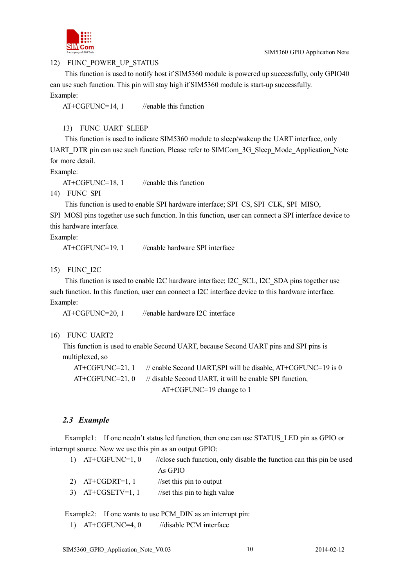

12) FUNC\_POWER\_UP\_STATUS

This function is used to notify host if SIM5360 module is powered up successfully, only GPIO40 can use such function. This pin will stay high if SIM5360 module is start-up successfully.

Example:

 $AT+CGFUNC=14, 1$  //enable this function

#### 13) FUNC\_UART\_SLEEP

This function is used to indicate SIM5360 module to sleep/wakeup the UART interface, only UART\_DTR pin can use such function, Please refer to SIMCom\_3G\_Sleep\_Mode\_Application\_Note for more detail.

Example:

 $AT+CGFUNC=18, 1$  //enable this function

14) FUNC\_SPI

This function is used to enable SPI hardware interface; SPI\_CS, SPI\_CLK, SPI\_MISO,

SPI\_MOSI pins together use such function. In this function, user can connect a SPI interface device to this hardware interface.

Example:

AT+CGFUNC=19, 1 //enable hardware SPI interface

15) FUNC\_I2C

This function is used to enable I2C hardware interface; I2C\_SCL, I2C\_SDA pins together use such function. In this function, user can connect a I2C interface device to this hardware interface. Example:

AT+CGFUNC=20, 1 //enable hardware I2C interface

#### 16) FUNC\_UART2

This function is used to enable Second UART, because Second UART pins and SPI pins is multiplexed, so

AT+CGFUNC=21, 1 // enable Second UART, SPI will be disable, AT+CGFUNC=19 is 0  $AT+CGFUNC=21, 0$  // disable Second UART, it will be enable SPI function, AT+CGFUNC=19 change to 1

#### *2.3 Example*

Example1: If one needn't status led function, then one can use STATUS LED pin as GPIO or interrupt source. Now we use this pin as an output GPIO:

| 1) $AT+CGFUNC=1, 0$ | //close such function, only disable the function can this pin be used |
|---------------------|-----------------------------------------------------------------------|
|                     | As GPIO                                                               |
| 2) $AT+CGDRT=1, 1$  | $\frac{1}{\sqrt{2}}$ //set this pin to output                         |

3) AT+CGSETV=1, 1  $\frac{1}{\sqrt{1 + \text{C}}}{1}$  //set this pin to high value

Example2: If one wants to use PCM DIN as an interrupt pin:

1)  $AT+CGFUNC=4, 0$  //disable PCM interface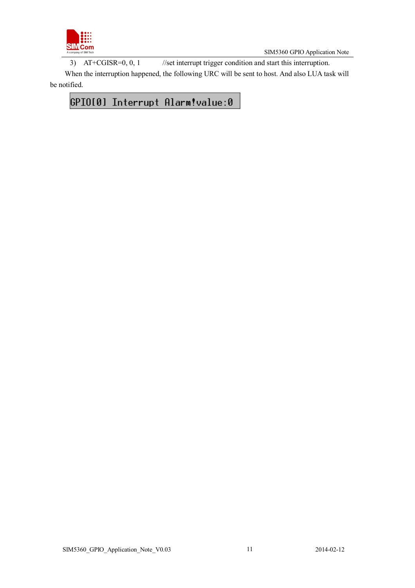

SIM5360 GPIO Application Note

3) AT+CGISR=0, 0, 1 //set interrupt trigger condition and start this interruption.

When the interruption happened, the following URC will be sent to host. And also LUA task will be notified.

# GPIO[0] Interrupt Alarm!value:0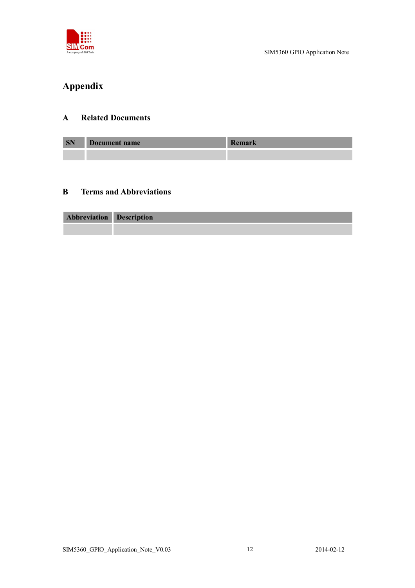

# **Appendix**

### **A Related Documents**

| <b>SN</b> | Document name | D<br>Remark |
|-----------|---------------|-------------|
|           |               |             |

### **B Terms and Abbreviations**

| <b>Abbreviation Description</b> |  |
|---------------------------------|--|
|                                 |  |